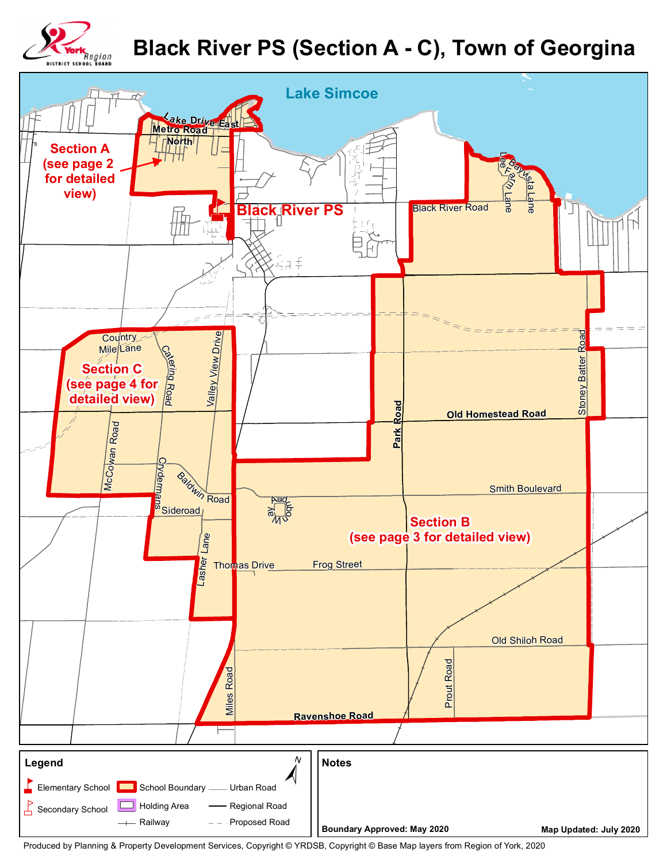

## **Black River PS (Section A - C), Town of Georgina**

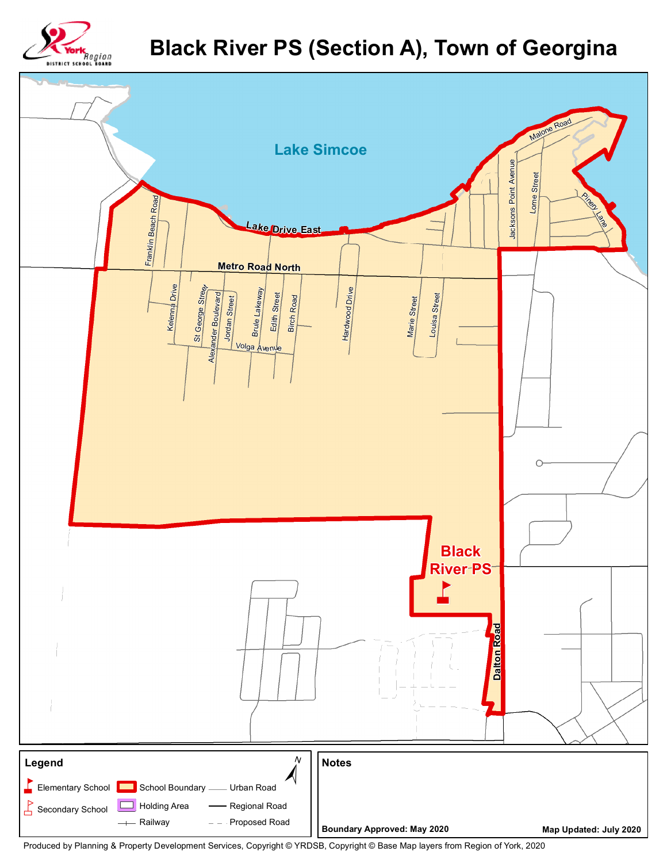

## **Black River PS (Section A), Town of Georgina**

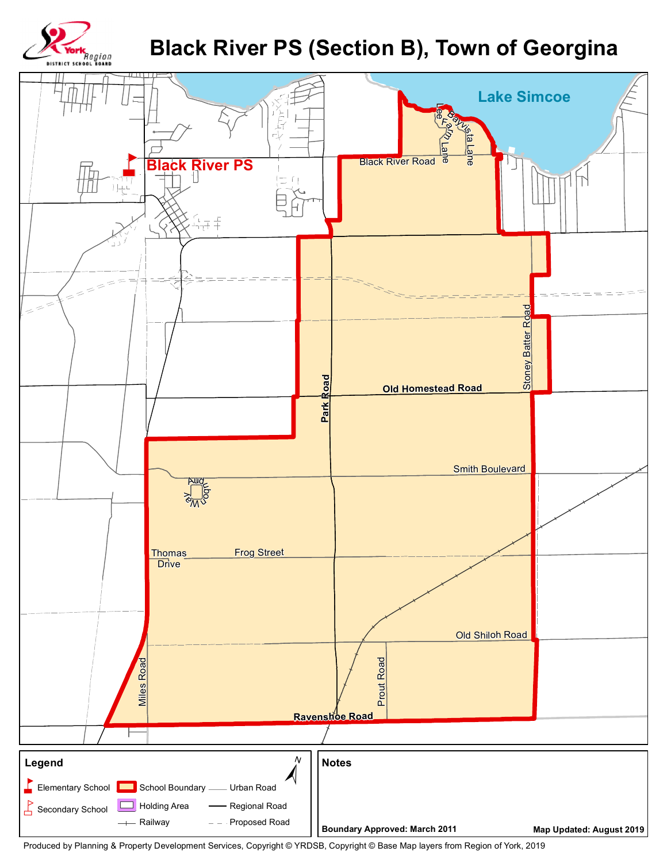

## **Black River PS (Section B), Town of Georgina**